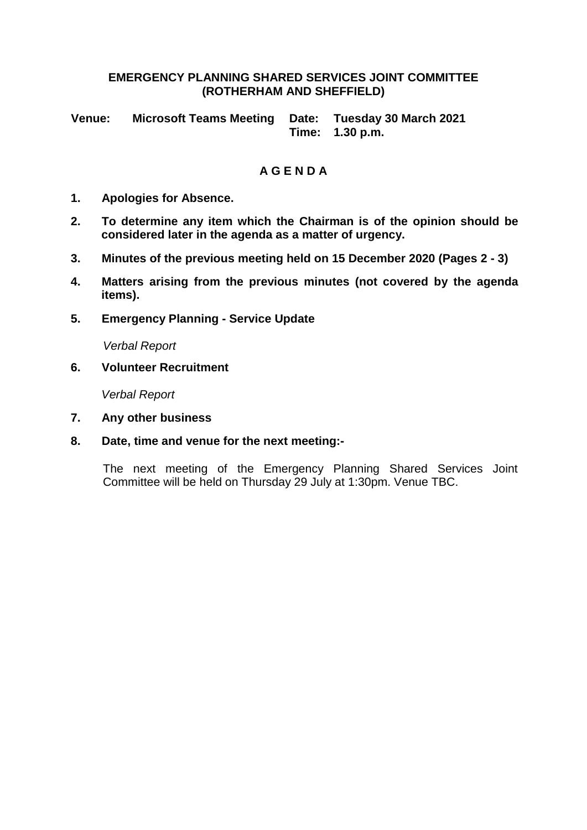#### **EMERGENCY PLANNING SHARED SERVICES JOINT COMMITTEE (ROTHERHAM AND SHEFFIELD)**

**Venue: Microsoft Teams Meeting Date: Tuesday 30 March 2021 Time: 1.30 p.m.**

# **A G E N D A**

- **1. Apologies for Absence.**
- **2. To determine any item which the Chairman is of the opinion should be considered later in the agenda as a matter of urgency.**
- **3. Minutes of the previous meeting held on 15 December 2020 (Pages 2 - 3)**
- **4. Matters arising from the previous minutes (not covered by the agenda items).**
- **5. Emergency Planning - Service Update**

*Verbal Report*

**6. Volunteer Recruitment**

*Verbal Report*

- **7. Any other business**
- **8. Date, time and venue for the next meeting:-**

The next meeting of the Emergency Planning Shared Services Joint Committee will be held on Thursday 29 July at 1:30pm. Venue TBC.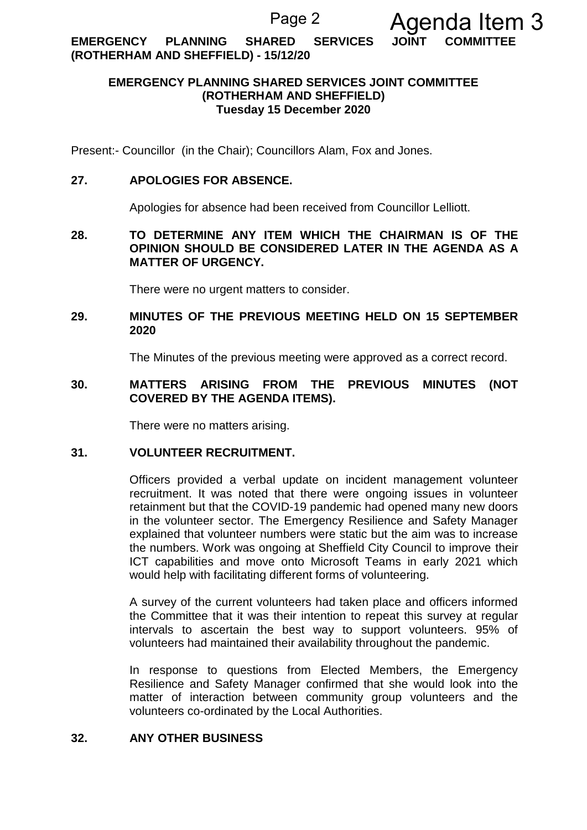**EMERGENCY PLANNING SHARED SERVICES JOINT COMMITTEE (ROTHERHAM AND SHEFFIELD) - 15/12/20**

# **EMERGENCY PLANNING SHARED SERVICES JOINT COMMITTEE (ROTHERHAM AND SHEFFIELD) Tuesday 15 December 2020**

Present:- Councillor (in the Chair); Councillors Alam, Fox and Jones.

#### **27. APOLOGIES FOR ABSENCE.**

Apologies for absence had been received from Councillor Lelliott.

## **28. TO DETERMINE ANY ITEM WHICH THE CHAIRMAN IS OF THE OPINION SHOULD BE CONSIDERED LATER IN THE AGENDA AS A MATTER OF URGENCY.**

There were no urgent matters to consider.

## **29. MINUTES OF THE PREVIOUS MEETING HELD ON 15 SEPTEMBER 2020**

The Minutes of the previous meeting were approved as a correct record.

## **30. MATTERS ARISING FROM THE PREVIOUS MINUTES (NOT COVERED BY THE AGENDA ITEMS).**

There were no matters arising.

# **31. VOLUNTEER RECRUITMENT.**

Officers provided a verbal update on incident management volunteer recruitment. It was noted that there were ongoing issues in volunteer retainment but that the COVID-19 pandemic had opened many new doors in the volunteer sector. The Emergency Resilience and Safety Manager explained that volunteer numbers were static but the aim was to increase the numbers. Work was ongoing at Sheffield City Council to improve their ICT capabilities and move onto Microsoft Teams in early 2021 which would help with facilitating different forms of volunteering.

A survey of the current volunteers had taken place and officers informed the Committee that it was their intention to repeat this survey at regular intervals to ascertain the best way to support volunteers. 95% of volunteers had maintained their availability throughout the pandemic.

In response to questions from Elected Members, the Emergency Resilience and Safety Manager confirmed that she would look into the matter of interaction between community group volunteers and the volunteers co-ordinated by the Local Authorities.

## **32. ANY OTHER BUSINESS**